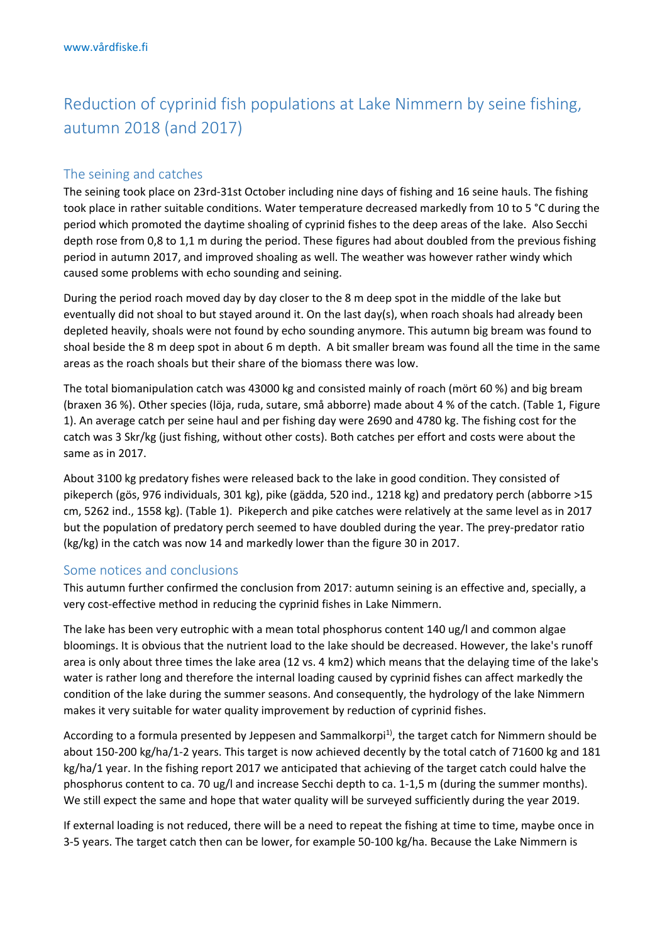## Reduction of cyprinid fish populations at Lake Nimmern by seine fishing, autumn 2018 (and 2017)

## The seining and catches

The seining took place on 23rd-31st October including nine days of fishing and 16 seine hauls. The fishing took place in rather suitable conditions. Water temperature decreased markedly from 10 to 5 °C during the period which promoted the daytime shoaling of cyprinid fishes to the deep areas of the lake. Also Secchi depth rose from 0,8 to 1,1 m during the period. These figures had about doubled from the previous fishing period in autumn 2017, and improved shoaling as well. The weather was however rather windy which caused some problems with echo sounding and seining.

During the period roach moved day by day closer to the 8 m deep spot in the middle of the lake but eventually did not shoal to but stayed around it. On the last day(s), when roach shoals had already been depleted heavily, shoals were not found by echo sounding anymore. This autumn big bream was found to shoal beside the 8 m deep spot in about 6 m depth. A bit smaller bream was found all the time in the same areas as the roach shoals but their share of the biomass there was low.

The total biomanipulation catch was 43000 kg and consisted mainly of roach (mört 60 %) and big bream (braxen 36 %). Other species (löja, ruda, sutare, små abborre) made about 4 % of the catch. (Table 1, Figure 1). An average catch per seine haul and per fishing day were 2690 and 4780 kg. The fishing cost for the catch was 3 Skr/kg (just fishing, without other costs). Both catches per effort and costs were about the same as in 2017.

About 3100 kg predatory fishes were released back to the lake in good condition. They consisted of pikeperch (gös, 976 individuals, 301 kg), pike (gädda, 520 ind., 1218 kg) and predatory perch (abborre >15 cm, 5262 ind., 1558 kg). (Table 1). Pikeperch and pike catches were relatively at the same level as in 2017 but the population of predatory perch seemed to have doubled during the year. The prey-predator ratio (kg/kg) in the catch was now 14 and markedly lower than the figure 30 in 2017.

## Some notices and conclusions

This autumn further confirmed the conclusion from 2017: autumn seining is an effective and, specially, a very cost-effective method in reducing the cyprinid fishes in Lake Nimmern.

The lake has been very eutrophic with a mean total phosphorus content 140 ug/l and common algae bloomings. It is obvious that the nutrient load to the lake should be decreased. However, the lake's runoff area is only about three times the lake area (12 vs. 4 km2) which means that the delaying time of the lake's water is rather long and therefore the internal loading caused by cyprinid fishes can affect markedly the condition of the lake during the summer seasons. And consequently, the hydrology of the lake Nimmern makes it very suitable for water quality improvement by reduction of cyprinid fishes.

According to a formula presented by Jeppesen and Sammalkorpi<sup>1)</sup>, the target catch for Nimmern should be about 150-200 kg/ha/1-2 years. This target is now achieved decently by the total catch of 71600 kg and 181 kg/ha/1 year. In the fishing report 2017 we anticipated that achieving of the target catch could halve the phosphorus content to ca. 70 ug/l and increase Secchi depth to ca. 1-1,5 m (during the summer months). We still expect the same and hope that water quality will be surveyed sufficiently during the year 2019.

If external loading is not reduced, there will be a need to repeat the fishing at time to time, maybe once in 3-5 years. The target catch then can be lower, for example 50-100 kg/ha. Because the Lake Nimmern is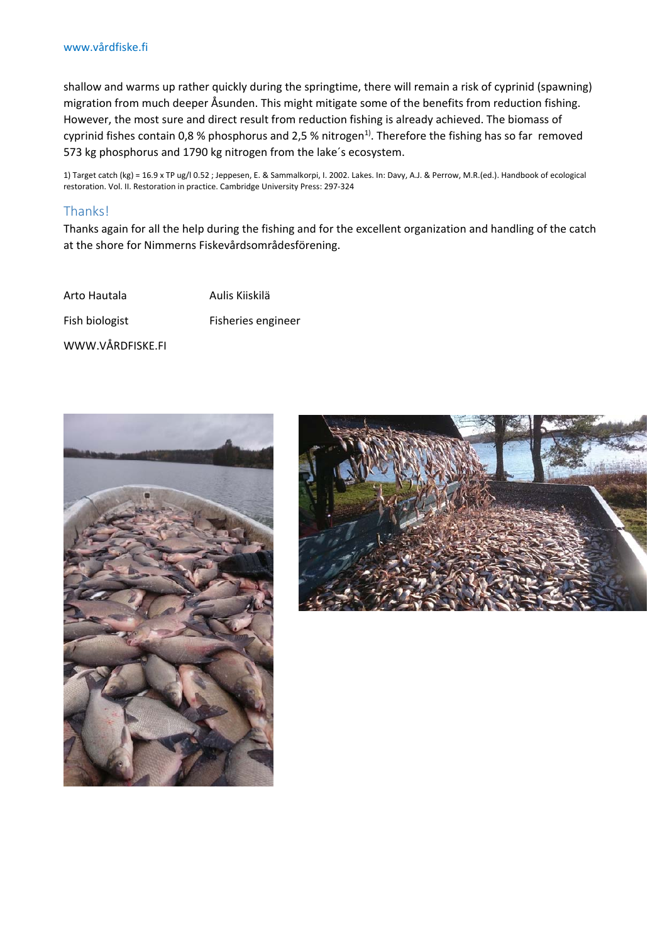shallow and warms up rather quickly during the springtime, there will remain a risk of cyprinid (spawning) migration from much deeper Åsunden. This might mitigate some of the benefits from reduction fishing. However, the most sure and direct result from reduction fishing is already achieved. The biomass of cyprinid fishes contain 0,8 % phosphorus and 2,5 % nitrogen<sup>1)</sup>. Therefore the fishing has so far removed 573 kg phosphorus and 1790 kg nitrogen from the lake´s ecosystem.

1) Target catch (kg) = 16.9 x TP ug/l 0.52 ; Jeppesen, E. & Sammalkorpi, I. 2002. Lakes. In: Davy, A.J. & Perrow, M.R.(ed.). Handbook of ecological restoration. Vol. II. Restoration in practice. Cambridge University Press: 297-324

## Thanks!

Thanks again for all the help during the fishing and for the excellent organization and handling of the catch at the shore for Nimmerns Fiskevårdsområdesförening.

Arto Hautala Marto Hautala Fish biologist Fisheries engineer WWW.VÅRDFISKE.FI



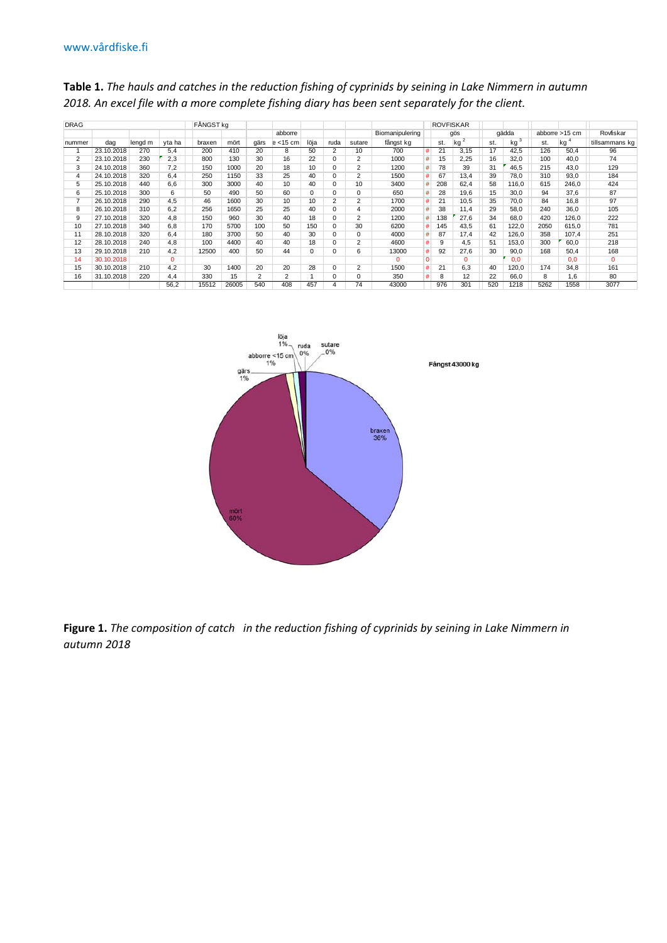| <b>DRAG</b>    |            | FÅNGST ka |          |        |       |                |             |      | <b>ROVFISKAR</b> |                |                 |             |     |          |       |                 |                |       |                |
|----------------|------------|-----------|----------|--------|-------|----------------|-------------|------|------------------|----------------|-----------------|-------------|-----|----------|-------|-----------------|----------------|-------|----------------|
|                |            |           |          |        |       |                | abborre     |      |                  |                | Biomanipulering |             | qös |          | gädda |                 | abborre >15 cm |       | Rovfiskar      |
| nummer         | dag        | lengd m   | yta ha   | braxen | mört  | gärs           | $e$ < 15 cm | löja | ruda             | sutare         | fångst kg       |             | st. | kg       | st.   | kg <sup>3</sup> | st.            | kq    | tillsammans kg |
|                | 23.10.2018 | 270       | 5.4      | 200    | 410   | 20             | 8           | 50   | $\overline{2}$   | 10             | 700             | #           | 21  | 3,15     | 17    | 42.5            | 126            | 50.4  | 96             |
|                | 23.10.2018 | 230       | 2,3      | 800    | 130   | 30             | 16          | 22   |                  | 2              | 1000            | #           | 15  | 2,25     | 16    | 32,0            | 100            | 40.0  | 74             |
| 3              | 24.10.2018 | 360       | 7,2      | 150    | 1000  | 20             | 18          | 10   | 0                | 2              | 1200            | #           | 78  | 39       | 31    | 46,5            | 215            | 43.0  | 129            |
| 4              | 24.10.2018 | 320       | 6.4      | 250    | 1150  | 33             | 25          | 40   | $\Omega$         | 2              | 1500            | #           | 67  | 13.4     | 39    | 78.0            | 310            | 93.0  | 184            |
| 5              | 25.10.2018 | 440       | 6.6      | 300    | 3000  | 40             | 10          | 40   | $\Omega$         | 10             | 3400            | #           | 208 | 62,4     | 58    | 116,0           | 615            | 246.0 | 424            |
| 6              | 25.10.2018 | 300       | 6        | 50     | 490   | 50             | 60          | 0    | 0                | 0              | 650             | #           | 28  | 19,6     | 15    | 30,0            | 94             | 37.6  | 87             |
| $\overline{7}$ | 26.10.2018 | 290       | 4,5      | 46     | 1600  | 30             | 10          | 10   | 2                | $\overline{2}$ | 1700            | #           | 21  | 10,5     | 35    | 70.0            | 84             | 16.8  | 97             |
| 8              | 26.10.2018 | 310       | 6,2      | 256    | 1650  | 25             | 25          | 40   | $\Omega$         | 4              | 2000            | #           | 38  | 11.4     | 29    | 58,0            | 240            | 36.0  | 105            |
| 9              | 27.10.2018 | 320       | 4.8      | 150    | 960   | 30             | 40          | 18   | 0                | $\overline{2}$ | 1200            | #           | 138 | 27,6     | 34    | 68,0            | 420            | 126.0 | 222            |
| 10             | 27.10.2018 | 340       | 6,8      | 170    | 5700  | 100            | 50          | 150  | 0                | 30             | 6200            | #           | 145 | 43,5     | 61    | 122,0           | 2050           | 615,0 | 781            |
| 11             | 28.10.2018 | 320       | 6.4      | 180    | 3700  | 50             | 40          | 30   | $\Omega$         | 0              | 4000            | #           | 87  | 17.4     | 42    | 126,0           | 358            | 107.4 | 251            |
| 12             | 28.10.2018 | 240       | 4,8      | 100    | 4400  | 40             | 40          | 18   | 0                | $\overline{2}$ | 4600            | #           | 9   | 4.5      | 51    | 153.0           | 300            | 60.0  | 218            |
| 13             | 29.10.2018 | 210       | 4,2      | 12500  | 400   | 50             | 44          | 0    | $\Omega$         | 6              | 13000           | #           | 92  | 27,6     | 30    | 90,0            | 168            | 50.4  | 168            |
| 14             | 30.10.2018 |           | $\Omega$ |        |       |                |             |      |                  |                |                 | $\mathbf 0$ |     | $\Omega$ |       | 0.0             |                | 0.0   | $\Omega$       |
| 15             | 30.10.2018 | 210       | 4,2      | 30     | 1400  | 20             | 20          | 28   | 0                | $\overline{2}$ | 1500            | #           | 21  | 6,3      | 40    | 120,0           | 174            | 34,8  | 161            |
| 16             | 31.10.2018 | 220       | 4,4      | 330    | 15    | $\overline{2}$ | 2           |      | $\Omega$         | 0              | 350             | #           | 8   | 12       | 22    | 66.0            | 8              | 1,6   | 80             |
|                |            |           | 56,2     | 15512  | 26005 | 540            | 408         | 457  |                  | 74             | 43000           |             | 976 | 301      | 520   | 1218            | 5262           | 1558  | 3077           |

**Table 1.** *The hauls and catches in the reduction fishing of cyprinids by seining in Lake Nimmern in autumn 2018. An excel file with a more complete fishing diary has been sent separately for the client.* 



**Figure 1.** *The composition of catch in the reduction fishing of cyprinids by seining in Lake Nimmern in autumn 2018*